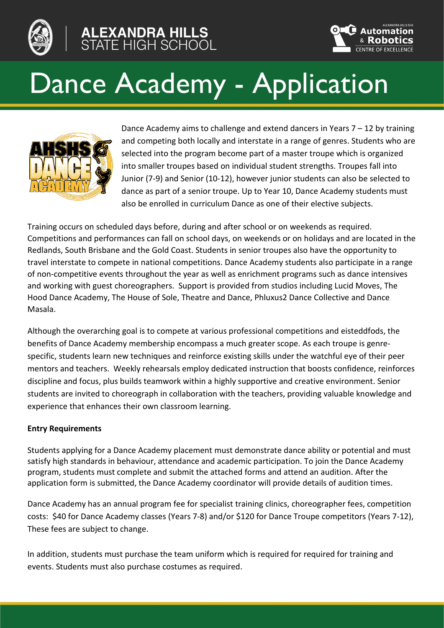



# Dance Academy - Application



Dance Academy aims to challenge and extend dancers in Years  $7 - 12$  by training and competing both locally and interstate in a range of genres. Students who are selected into the program become part of a master troupe which is organized into smaller troupes based on individual student strengths. Troupes fall into Junior (7-9) and Senior (10-12), however junior students can also be selected to dance as part of a senior troupe. Up to Year 10, Dance Academy students must also be enrolled in curriculum Dance as one of their elective subjects.

Training occurs on scheduled days before, during and after school or on weekends as required. Competitions and performances can fall on school days, on weekends or on holidays and are located in the Redlands, South Brisbane and the Gold Coast. Students in senior troupes also have the opportunity to travel interstate to compete in national competitions. Dance Academy students also participate in a range of non-competitive events throughout the year as well as enrichment programs such as dance intensives and working with guest choreographers. Support is provided from studios including Lucid Moves, The Hood Dance Academy, The House of Sole, Theatre and Dance, Phluxus2 Dance Collective and Dance Masala.

Although the overarching goal is to compete at various professional competitions and eisteddfods, the benefits of Dance Academy membership encompass a much greater scope. As each troupe is genrespecific, students learn new techniques and reinforce existing skills under the watchful eye of their peer mentors and teachers. Weekly rehearsals employ dedicated instruction that boosts confidence, reinforces discipline and focus, plus builds teamwork within a highly supportive and creative environment. Senior students are invited to choreograph in collaboration with the teachers, providing valuable knowledge and experience that enhances their own classroom learning.

## **Entry Requirements**

Students applying for a Dance Academy placement must demonstrate dance ability or potential and must satisfy high standards in behaviour, attendance and academic participation. To join the Dance Academy program, students must complete and submit the attached forms and attend an audition. After the application form is submitted, the Dance Academy coordinator will provide details of audition times.

Dance Academy has an annual program fee for specialist training clinics, choreographer fees, competition costs: \$40 for Dance Academy classes (Years 7-8) and/or \$120 for Dance Troupe competitors (Years 7-12), These fees are subject to change.

In addition, students must purchase the team uniform which is required for required for training and events. Students must also purchase costumes as required.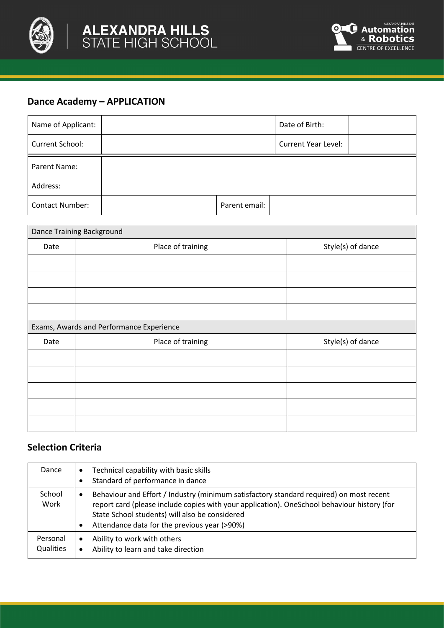



## **Dance Academy – APPLICATION**

| Name of Applicant:     |               | Date of Birth:             |  |
|------------------------|---------------|----------------------------|--|
| Current School:        |               | <b>Current Year Level:</b> |  |
| Parent Name:           |               |                            |  |
| Address:               |               |                            |  |
| <b>Contact Number:</b> | Parent email: |                            |  |

| Dance Training Background |                                          |                   |  |  |  |
|---------------------------|------------------------------------------|-------------------|--|--|--|
| Date                      | Place of training                        | Style(s) of dance |  |  |  |
|                           |                                          |                   |  |  |  |
|                           |                                          |                   |  |  |  |
|                           |                                          |                   |  |  |  |
|                           |                                          |                   |  |  |  |
|                           | Exams, Awards and Performance Experience |                   |  |  |  |
| Date                      | Place of training                        | Style(s) of dance |  |  |  |
|                           |                                          |                   |  |  |  |
|                           |                                          |                   |  |  |  |
|                           |                                          |                   |  |  |  |
|                           |                                          |                   |  |  |  |
|                           |                                          |                   |  |  |  |

## **Selection Criteria**

| Dance                        | Technical capability with basic skills<br>$\bullet$<br>Standard of performance in dance                                                                                                                                                                                                                    |
|------------------------------|------------------------------------------------------------------------------------------------------------------------------------------------------------------------------------------------------------------------------------------------------------------------------------------------------------|
| School<br>Work               | Behaviour and Effort / Industry (minimum satisfactory standard required) on most recent<br>$\bullet$<br>report card (please include copies with your application). OneSchool behaviour history (for<br>State School students) will also be considered<br>Attendance data for the previous year (>90%)<br>٠ |
| Personal<br><b>Qualities</b> | Ability to work with others<br>$\bullet$<br>Ability to learn and take direction<br>$\bullet$                                                                                                                                                                                                               |